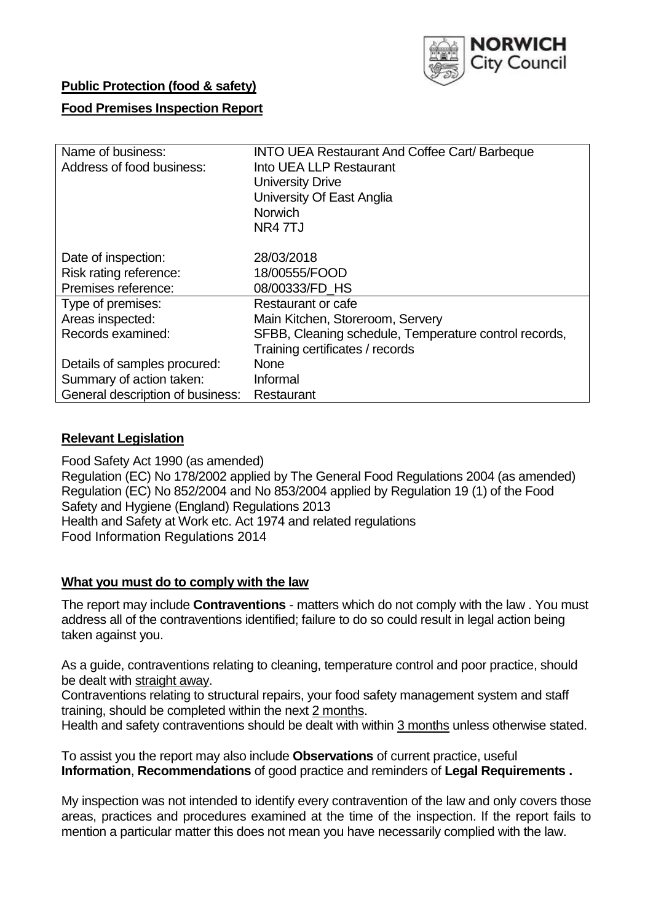

# **Public Protection (food & safety)**

# **Food Premises Inspection Report**

| Name of business:                | <b>INTO UEA Restaurant And Coffee Cart/ Barbeque</b>  |  |  |  |  |
|----------------------------------|-------------------------------------------------------|--|--|--|--|
| Address of food business:        | Into UEA LLP Restaurant                               |  |  |  |  |
|                                  | <b>University Drive</b>                               |  |  |  |  |
|                                  | University Of East Anglia                             |  |  |  |  |
|                                  | <b>Norwich</b>                                        |  |  |  |  |
|                                  | NR4 7TJ                                               |  |  |  |  |
|                                  |                                                       |  |  |  |  |
| Date of inspection:              | 28/03/2018                                            |  |  |  |  |
| Risk rating reference:           | 18/00555/FOOD                                         |  |  |  |  |
| Premises reference:              | 08/00333/FD HS                                        |  |  |  |  |
| Type of premises:                | Restaurant or cafe                                    |  |  |  |  |
| Areas inspected:                 | Main Kitchen, Storeroom, Servery                      |  |  |  |  |
| Records examined:                | SFBB, Cleaning schedule, Temperature control records, |  |  |  |  |
|                                  | Training certificates / records                       |  |  |  |  |
| Details of samples procured:     | <b>None</b>                                           |  |  |  |  |
| Summary of action taken:         | Informal                                              |  |  |  |  |
| General description of business: | Restaurant                                            |  |  |  |  |

# **Relevant Legislation**

Food Safety Act 1990 (as amended) Regulation (EC) No 178/2002 applied by The General Food Regulations 2004 (as amended) Regulation (EC) No 852/2004 and No 853/2004 applied by Regulation 19 (1) of the Food Safety and Hygiene (England) Regulations 2013 Health and Safety at Work etc. Act 1974 and related regulations Food Information Regulations 2014

# **What you must do to comply with the law**

The report may include **Contraventions** - matters which do not comply with the law . You must address all of the contraventions identified; failure to do so could result in legal action being taken against you.

As a guide, contraventions relating to cleaning, temperature control and poor practice, should be dealt with straight away.

Contraventions relating to structural repairs, your food safety management system and staff training, should be completed within the next 2 months.

Health and safety contraventions should be dealt with within 3 months unless otherwise stated.

To assist you the report may also include **Observations** of current practice, useful **Information**, **Recommendations** of good practice and reminders of **Legal Requirements .**

My inspection was not intended to identify every contravention of the law and only covers those areas, practices and procedures examined at the time of the inspection. If the report fails to mention a particular matter this does not mean you have necessarily complied with the law.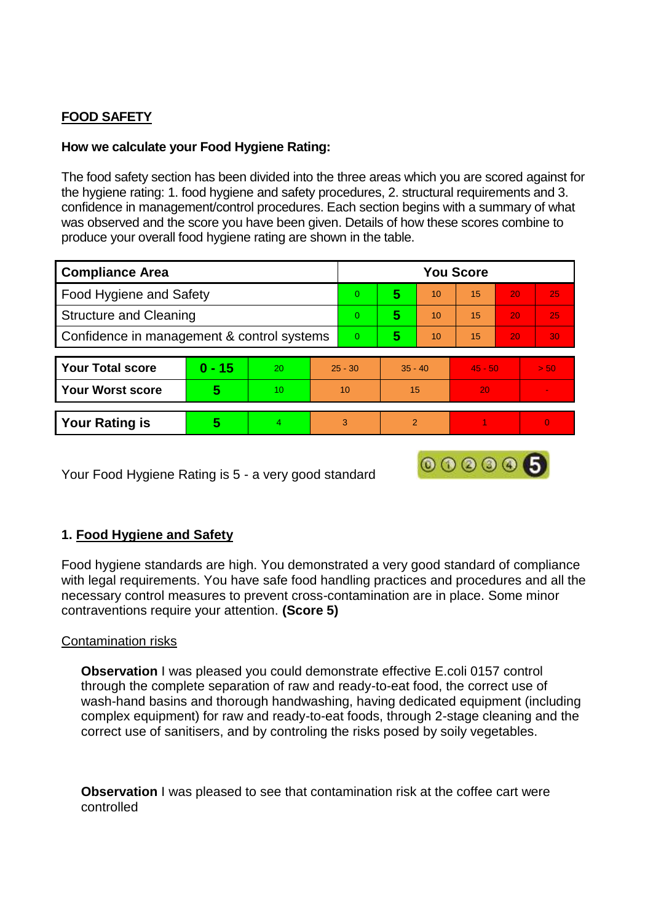# **FOOD SAFETY**

# **How we calculate your Food Hygiene Rating:**

The food safety section has been divided into the three areas which you are scored against for the hygiene rating: 1. food hygiene and safety procedures, 2. structural requirements and 3. confidence in management/control procedures. Each section begins with a summary of what was observed and the score you have been given. Details of how these scores combine to produce your overall food hygiene rating are shown in the table.

| <b>Compliance Area</b>                     |          |    |           | <b>You Score</b> |           |    |           |    |          |  |  |
|--------------------------------------------|----------|----|-----------|------------------|-----------|----|-----------|----|----------|--|--|
| Food Hygiene and Safety                    |          |    |           | $\overline{0}$   | 5         | 10 | 15        | 20 | 25       |  |  |
| <b>Structure and Cleaning</b>              |          |    |           | $\Omega$         | 5         | 10 | 15        | 20 | 25       |  |  |
| Confidence in management & control systems |          |    | $\Omega$  | 5                | 10        | 15 | 20        | 30 |          |  |  |
|                                            |          |    |           |                  |           |    |           |    |          |  |  |
| <b>Your Total score</b>                    | $0 - 15$ | 20 | $25 - 30$ |                  | $35 - 40$ |    | $45 - 50$ |    | > 50     |  |  |
| <b>Your Worst score</b>                    | 5        | 10 | 10        |                  | 15        |    | 20        |    |          |  |  |
|                                            |          |    |           |                  |           |    |           |    |          |  |  |
| <b>Your Rating is</b>                      | 5        | 4  |           | 3                | 2         |    |           |    | $\Omega$ |  |  |

Your Food Hygiene Rating is 5 - a very good standard

# **1. Food Hygiene and Safety**

Food hygiene standards are high. You demonstrated a very good standard of compliance with legal requirements. You have safe food handling practices and procedures and all the necessary control measures to prevent cross-contamination are in place. Some minor contraventions require your attention. **(Score 5)**

000006

#### Contamination risks

**Observation I** was pleased you could demonstrate effective E.coli 0157 control through the complete separation of raw and ready-to-eat food, the correct use of wash-hand basins and thorough handwashing, having dedicated equipment (including complex equipment) for raw and ready-to-eat foods, through 2-stage cleaning and the correct use of sanitisers, and by controling the risks posed by soily vegetables.

**Observation** I was pleased to see that contamination risk at the coffee cart were controlled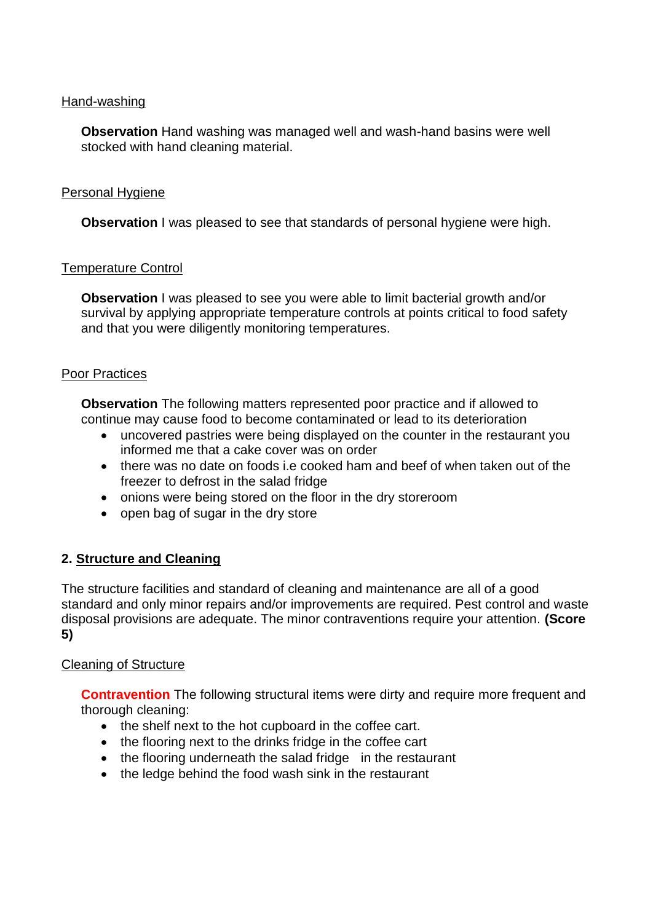## Hand-washing

**Observation** Hand washing was managed well and wash-hand basins were well stocked with hand cleaning material.

## Personal Hygiene

**Observation** I was pleased to see that standards of personal hygiene were high.

## Temperature Control

**Observation** I was pleased to see you were able to limit bacterial growth and/or survival by applying appropriate temperature controls at points critical to food safety and that you were diligently monitoring temperatures.

## Poor Practices

**Observation** The following matters represented poor practice and if allowed to continue may cause food to become contaminated or lead to its deterioration

- uncovered pastries were being displayed on the counter in the restaurant you informed me that a cake cover was on order
- there was no date on foods i.e cooked ham and beef of when taken out of the freezer to defrost in the salad fridge
- onions were being stored on the floor in the dry storeroom
- $\bullet$  open bag of sugar in the dry store

# **2. Structure and Cleaning**

The structure facilities and standard of cleaning and maintenance are all of a good standard and only minor repairs and/or improvements are required. Pest control and waste disposal provisions are adequate. The minor contraventions require your attention. **(Score 5)**

#### Cleaning of Structure

**Contravention** The following structural items were dirty and require more frequent and thorough cleaning:

- the shelf next to the hot cupboard in the coffee cart.
- the flooring next to the drinks fridge in the coffee cart
- the flooring underneath the salad fridge in the restaurant
- the ledge behind the food wash sink in the restaurant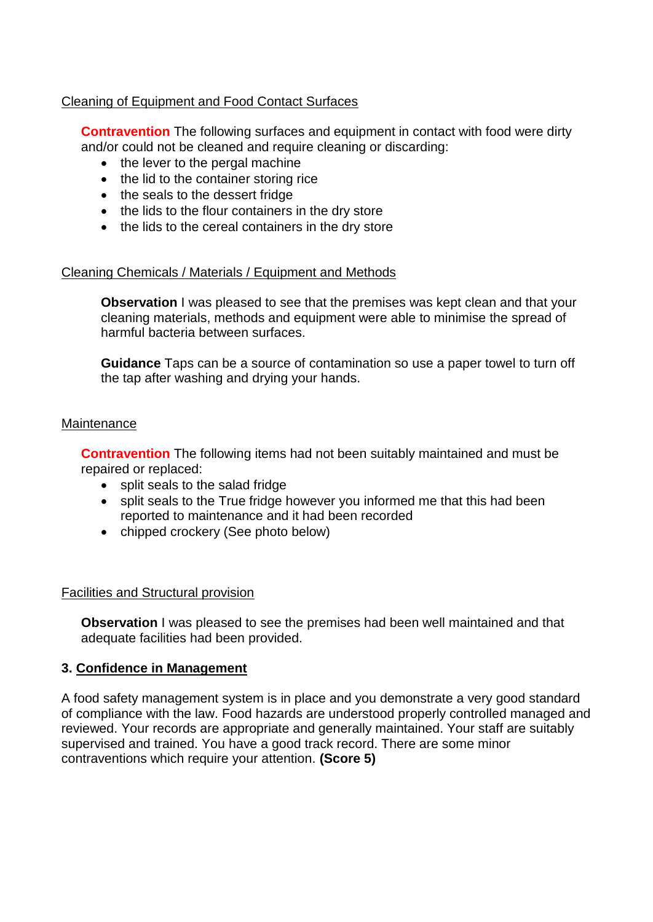# Cleaning of Equipment and Food Contact Surfaces

**Contravention** The following surfaces and equipment in contact with food were dirty and/or could not be cleaned and require cleaning or discarding:

- the lever to the pergal machine
- the lid to the container storing rice
- the seals to the dessert fridge
- the lids to the flour containers in the dry store
- the lids to the cereal containers in the dry store

# Cleaning Chemicals / Materials / Equipment and Methods

**Observation** I was pleased to see that the premises was kept clean and that your cleaning materials, methods and equipment were able to minimise the spread of harmful bacteria between surfaces.

**Guidance** Taps can be a source of contamination so use a paper towel to turn off the tap after washing and drying your hands.

## **Maintenance**

**Contravention** The following items had not been suitably maintained and must be repaired or replaced:

- split seals to the salad fridge
- split seals to the True fridge however you informed me that this had been reported to maintenance and it had been recorded
- chipped crockery (See photo below)

# Facilities and Structural provision

**Observation** I was pleased to see the premises had been well maintained and that adequate facilities had been provided.

# **3. Confidence in Management**

A food safety management system is in place and you demonstrate a very good standard of compliance with the law. Food hazards are understood properly controlled managed and reviewed. Your records are appropriate and generally maintained. Your staff are suitably supervised and trained. You have a good track record. There are some minor contraventions which require your attention. **(Score 5)**